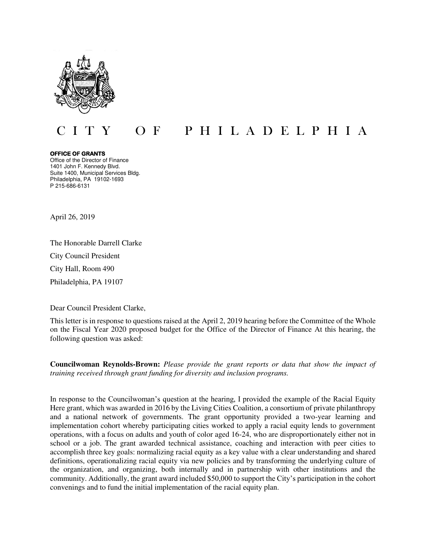

## O F P H I L A D E L P H I A

**OFFICE OF GRANTS** Office of the Director of Finance 1401 John F. Kennedy Blvd. Suite 1400, Municipal Services Bldg. Philadelphia, PA 19102-1693 P 215-686-6131

April 26, 2019

The Honorable Darrell Clarke City Council President City Hall, Room 490 Philadelphia, PA 19107

Dear Council President Clarke,

This letter is in response to questions raised at the April 2, 2019 hearing before the Committee of the Whole on the Fiscal Year 2020 proposed budget for the Office of the Director of Finance At this hearing, the following question was asked:

**Councilwoman Reynolds-Brown:** *Please provide the grant reports or data that show the impact of training received through grant funding for diversity and inclusion programs.*

In response to the Councilwoman's question at the hearing, I provided the example of the Racial Equity Here grant, which was awarded in 2016 by the Living Cities Coalition, a consortium of private philanthropy and a national network of governments. The grant opportunity provided a two-year learning and implementation cohort whereby participating cities worked to apply a racial equity lends to government operations, with a focus on adults and youth of color aged 16-24, who are disproportionately either not in school or a job. The grant awarded technical assistance, coaching and interaction with peer cities to accomplish three key goals: normalizing racial equity as a key value with a clear understanding and shared definitions, operationalizing racial equity via new policies and by transforming the underlying culture of the organization, and organizing, both internally and in partnership with other institutions and the community. Additionally, the grant award included \$50,000 to support the City's participation in the cohort convenings and to fund the initial implementation of the racial equity plan.